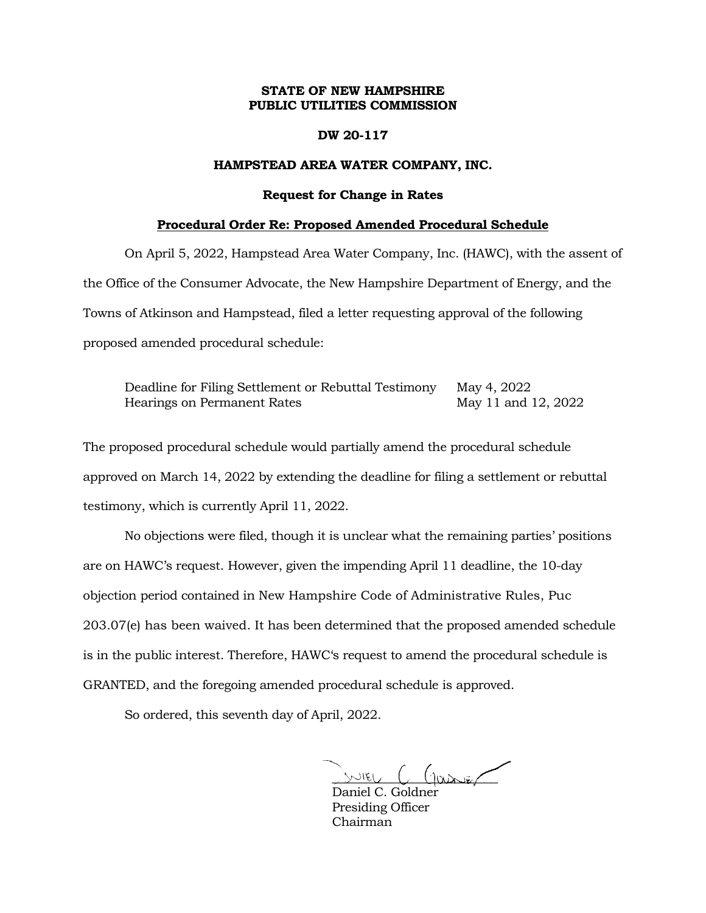## **STATE OF NEW HAMPSHIRE PUBLIC UTILITIES COMMISSION**

### **DW 20-117**

# **HAMPSTEAD AREA WATER COMPANY, INC.**

#### **Request for Change in Rates**

#### **Procedural Order Re: Proposed Amended Procedural Schedule**

On April 5, 2022, Hampstead Area Water Company, Inc. (HAWC), with the assent of the Office of the Consumer Advocate, the New Hampshire Department of Energy, and the Towns of Atkinson and Hampstead, filed a letter requesting approval of the following proposed amended procedural schedule:

Deadline for Filing Settlement or Rebuttal Testimony May 4, 2022 Hearings on Permanent Rates May 11 and 12, 2022

The proposed procedural schedule would partially amend the procedural schedule approved on March 14, 2022 by extending the deadline for filing a settlement or rebuttal testimony, which is currently April 11, 2022.

No objections were filed, though it is unclear what the remaining parties' positions are on HAWC's request. However, given the impending April 11 deadline, the 10-day objection period contained in New Hampshire Code of Administrative Rules, Puc 203.07(e) has been waived. It has been determined that the proposed amended schedule is in the public interest. Therefore, HAWC's request to amend the procedural schedule is GRANTED, and the foregoing amended procedural schedule is approved.

So ordered, this seventh day of April, 2022.

 $\sim$ 

Daniel C. Goldner Presiding Officer Chairman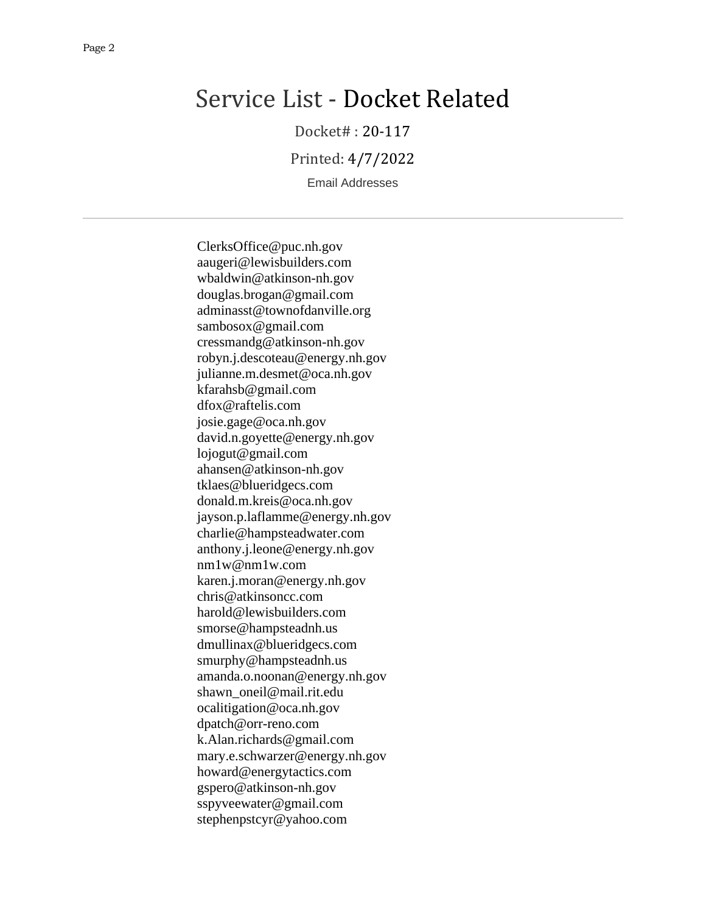# Service List - Docket Related

Docket# : 20-117

Printed: 4/7/2022

Email Addresses

ClerksOffice@puc.nh.gov aaugeri@lewisbuilders.com wbaldwin@atkinson-nh.gov douglas.brogan@gmail.com adminasst@townofdanville.org sambosox@gmail.com cressmandg@atkinson-nh.gov robyn.j.descoteau@energy.nh.gov julianne.m.desmet@oca.nh.gov kfarahsb@gmail.com dfox@raftelis.com josie.gage@oca.nh.gov david.n.goyette@energy.nh.gov lojogut@gmail.com ahansen@atkinson-nh.gov tklaes@blueridgecs.com donald.m.kreis@oca.nh.gov jayson.p.laflamme@energy.nh.gov charlie@hampsteadwater.com anthony.j.leone@energy.nh.gov nm1w@nm1w.com karen.j.moran@energy.nh.gov chris@atkinsoncc.com harold@lewisbuilders.com smorse@hampsteadnh.us dmullinax@blueridgecs.com smurphy@hampsteadnh.us amanda.o.noonan@energy.nh.gov shawn\_oneil@mail.rit.edu ocalitigation@oca.nh.gov dpatch@orr-reno.com k.Alan.richards@gmail.com mary.e.schwarzer@energy.nh.gov howard@energytactics.com gspero@atkinson-nh.gov sspyveewater@gmail.com stephenpstcyr@yahoo.com